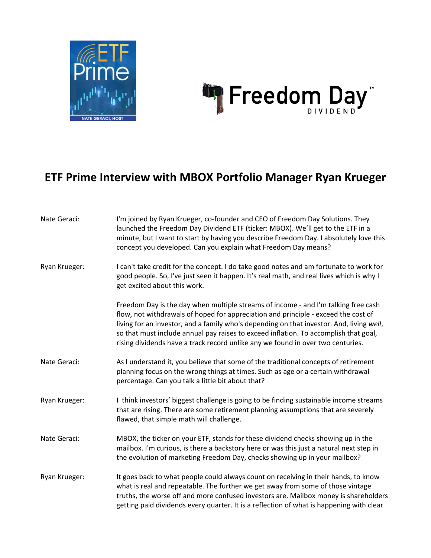



## **ETF Prime Interview with MBOX Portfolio Manager Ryan Krueger**

| Nate Geraci:  | I'm joined by Ryan Krueger, co-founder and CEO of Freedom Day Solutions. They<br>launched the Freedom Day Dividend ETF (ticker: MBOX). We'll get to the ETF in a<br>minute, but I want to start by having you describe Freedom Day. I absolutely love this<br>concept you developed. Can you explain what Freedom Day means?                                                                                                                    |
|---------------|-------------------------------------------------------------------------------------------------------------------------------------------------------------------------------------------------------------------------------------------------------------------------------------------------------------------------------------------------------------------------------------------------------------------------------------------------|
| Ryan Krueger: | I can't take credit for the concept. I do take good notes and am fortunate to work for<br>good people. So, I've just seen it happen. It's real math, and real lives which is why I<br>get excited about this work.                                                                                                                                                                                                                              |
|               | Freedom Day is the day when multiple streams of income - and I'm talking free cash<br>flow, not withdrawals of hoped for appreciation and principle - exceed the cost of<br>living for an investor, and a family who's depending on that investor. And, living well,<br>so that must include annual pay raises to exceed inflation. To accomplish that goal,<br>rising dividends have a track record unlike any we found in over two centuries. |
| Nate Geraci:  | As I understand it, you believe that some of the traditional concepts of retirement<br>planning focus on the wrong things at times. Such as age or a certain withdrawal<br>percentage. Can you talk a little bit about that?                                                                                                                                                                                                                    |
| Ryan Krueger: | I think investors' biggest challenge is going to be finding sustainable income streams<br>that are rising. There are some retirement planning assumptions that are severely<br>flawed, that simple math will challenge.                                                                                                                                                                                                                         |
| Nate Geraci:  | MBOX, the ticker on your ETF, stands for these dividend checks showing up in the<br>mailbox. I'm curious, is there a backstory here or was this just a natural next step in<br>the evolution of marketing Freedom Day, checks showing up in your mailbox?                                                                                                                                                                                       |
| Ryan Krueger: | It goes back to what people could always count on receiving in their hands, to know<br>what is real and repeatable. The further we get away from some of those vintage<br>truths, the worse off and more confused investors are. Mailbox money is shareholders<br>getting paid dividends every quarter. It is a reflection of what is happening with clear                                                                                      |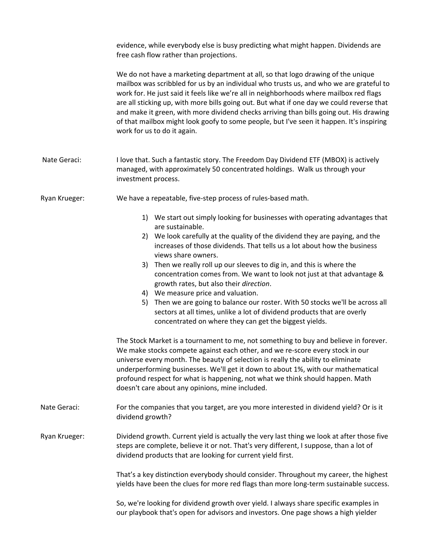evidence, while everybody else is busy predicting what might happen. Dividends are free cash flow rather than projections.

We do not have a marketing department at all, so that logo drawing of the unique mailbox was scribbled for us by an individual who trusts us, and who we are grateful to work for. He just said it feels like we're all in neighborhoods where mailbox red flags are all sticking up, with more bills going out. But what if one day we could reverse that and make it green, with more dividend checks arriving than bills going out. His drawing of that mailbox might look goofy to some people, but I've seen it happen. It's inspiring work for us to do it again.

- Nate Geraci: I love that. Such a fantastic story. The Freedom Day Dividend ETF (MBOX) is actively managed, with approximately 50 concentrated holdings. Walk us through your investment process.
- Ryan Krueger: We have a repeatable, five-step process of rules-based math.
	- 1) We start out simply looking for businesses with operating advantages that are sustainable.
	- 2) We look carefully at the quality of the dividend they are paying, and the increases of those dividends. That tells us a lot about how the business views share owners.
	- 3) Then we really roll up our sleeves to dig in, and this is where the concentration comes from. We want to look not just at that advantage & growth rates, but also their *direction*.
	- 4) We measure price and valuation.
	- 5) Then we are going to balance our roster. With 50 stocks we'll be across all sectors at all times, unlike a lot of dividend products that are overly concentrated on where they can get the biggest yields.

The Stock Market is a tournament to me, not something to buy and believe in forever. We make stocks compete against each other, and we re-score every stock in our universe every month. The beauty of selection is really the ability to eliminate underperforming businesses. We'll get it down to about 1%, with our mathematical profound respect for what is happening, not what we think should happen. Math doesn't care about any opinions, mine included.

Nate Geraci: For the companies that you target, are you more interested in dividend yield? Or is it dividend growth?

Ryan Krueger: Dividend growth. Current yield is actually the very last thing we look at after those five steps are complete, believe it or not. That's very different, I suppose, than a lot of dividend products that are looking for current yield first.

> That's a key distinction everybody should consider. Throughout my career, the highest yields have been the clues for more red flags than more long-term sustainable success.

So, we're looking for dividend growth over yield. I always share specific examples in our playbook that's open for advisors and investors. One page shows a high yielder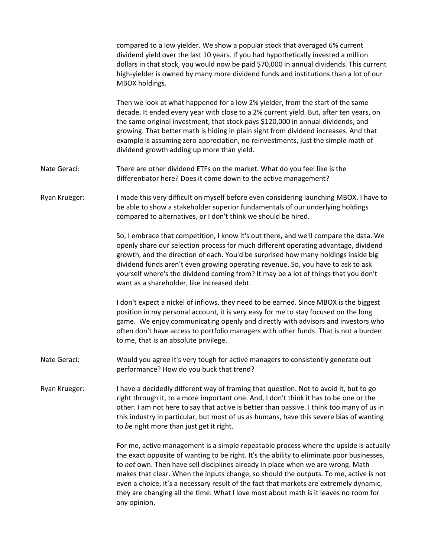| compared to a low yielder. We show a popular stock that averaged 6% current             |
|-----------------------------------------------------------------------------------------|
| dividend yield over the last 10 years. If you had hypothetically invested a million     |
| dollars in that stock, you would now be paid \$70,000 in annual dividends. This current |
| high-yielder is owned by many more dividend funds and institutions than a lot of our    |
| MBOX holdings.                                                                          |

Then we look at what happened for a low 2% yielder, from the start of the same decade. It ended every year with close to a 2% current yield. But, after ten years, on the same original investment, that stock pays \$120,000 in annual dividends, and growing. That better math is hiding in plain sight from dividend increases. And that example is assuming zero appreciation, no reinvestments, just the simple math of dividend growth adding up more than yield.

- Nate Geraci: There are other dividend ETFs on the market. What do you feel like is the differentiator here? Does it come down to the active management?
- Ryan Krueger: I made this very difficult on myself before even considering launching MBOX. I have to be able to show a stakeholder superior fundamentals of our underlying holdings compared to alternatives, or I don't think we should be hired.

So, I embrace that competition, I know it's out there, and we'll compare the data. We openly share our selection process for much different operating advantage, dividend growth, and the direction of each. You'd be surprised how many holdings inside big dividend funds aren't even growing operating revenue. So, you have to ask to ask yourself where's the dividend coming from? It may be a lot of things that you don't want as a shareholder, like increased debt.

I don't expect a nickel of inflows, they need to be earned. Since MBOX is the biggest position in my personal account, it is very easy for me to stay focused on the long game. We enjoy communicating openly and directly with advisors and investors who often don't have access to portfolio managers with other funds. That is not a burden to me, that is an absolute privilege.

- Nate Geraci: Would you agree it's very tough for active managers to consistently generate out performance? How do you buck that trend?
- Ryan Krueger: I have a decidedly different way of framing that question. Not to avoid it, but to go right through it, to a more important one. And, I don't think it has to be one or the other. I am not here to say that active is better than passive. I think too many of us in this industry in particular, but most of us as humans, have this severe bias of wanting to *be* right more than just get it right.

For me, active management is a simple repeatable process where the upside is actually the exact opposite of wanting to be right. It's the ability to eliminate poor businesses, to *not* own. Then have sell disciplines already in place when we are wrong. Math makes that clear. When the inputs change, so should the outputs. To me, active is not even a choice, it's a necessary result of the fact that markets are extremely dynamic, they are changing all the time. What I love most about math is it leaves no room for any opinion.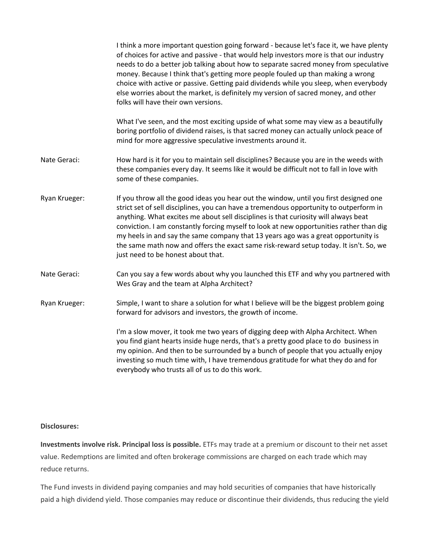|               | I think a more important question going forward - because let's face it, we have plenty<br>of choices for active and passive - that would help investors more is that our industry<br>needs to do a better job talking about how to separate sacred money from speculative<br>money. Because I think that's getting more people fouled up than making a wrong<br>choice with active or passive. Getting paid dividends while you sleep, when everybody<br>else worries about the market, is definitely my version of sacred money, and other<br>folks will have their own versions.   |
|---------------|---------------------------------------------------------------------------------------------------------------------------------------------------------------------------------------------------------------------------------------------------------------------------------------------------------------------------------------------------------------------------------------------------------------------------------------------------------------------------------------------------------------------------------------------------------------------------------------|
|               | What I've seen, and the most exciting upside of what some may view as a beautifully<br>boring portfolio of dividend raises, is that sacred money can actually unlock peace of<br>mind for more aggressive speculative investments around it.                                                                                                                                                                                                                                                                                                                                          |
| Nate Geraci:  | How hard is it for you to maintain sell disciplines? Because you are in the weeds with<br>these companies every day. It seems like it would be difficult not to fall in love with<br>some of these companies.                                                                                                                                                                                                                                                                                                                                                                         |
| Ryan Krueger: | If you throw all the good ideas you hear out the window, until you first designed one<br>strict set of sell disciplines, you can have a tremendous opportunity to outperform in<br>anything. What excites me about sell disciplines is that curiosity will always beat<br>conviction. I am constantly forcing myself to look at new opportunities rather than dig<br>my heels in and say the same company that 13 years ago was a great opportunity is<br>the same math now and offers the exact same risk-reward setup today. It isn't. So, we<br>just need to be honest about that. |
| Nate Geraci:  | Can you say a few words about why you launched this ETF and why you partnered with<br>Wes Gray and the team at Alpha Architect?                                                                                                                                                                                                                                                                                                                                                                                                                                                       |
| Ryan Krueger: | Simple, I want to share a solution for what I believe will be the biggest problem going<br>forward for advisors and investors, the growth of income.                                                                                                                                                                                                                                                                                                                                                                                                                                  |
|               | I'm a slow mover, it took me two years of digging deep with Alpha Architect. When<br>you find giant hearts inside huge nerds, that's a pretty good place to do business in<br>my opinion. And then to be surrounded by a bunch of people that you actually enjoy<br>investing so much time with, I have tremendous gratitude for what they do and for<br>everybody who trusts all of us to do this work.                                                                                                                                                                              |

## **Disclosures:**

**Investments involve risk. Principal loss is possible.** ETFs may trade at a premium or discount to their net asset value. Redemptions are limited and often brokerage commissions are charged on each trade which may reduce returns.

The Fund invests in dividend paying companies and may hold securities of companies that have historically paid a high dividend yield. Those companies may reduce or discontinue their dividends, thus reducing the yield